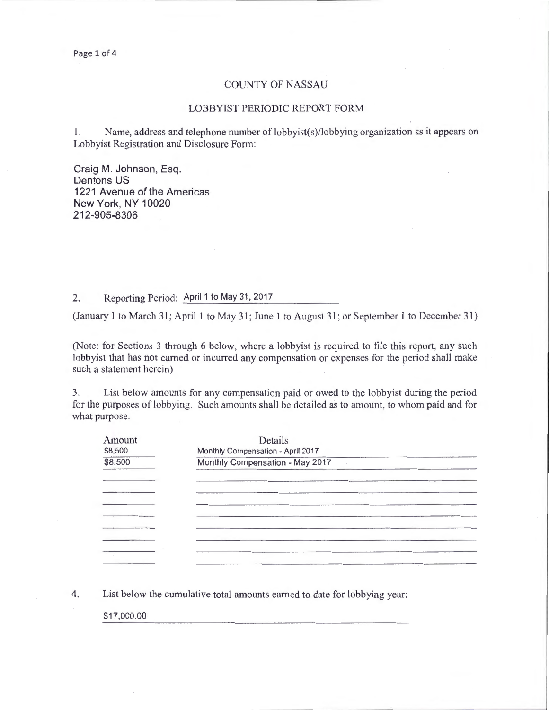## COUNTY OF NASSAU

## LOBBYIST PERIODIC REPORT FORM

I. Name, address and telephone number of lobbyist(s)/lobbying organization as it appears on Lobbyist Registration and Disclosure Form:

Craig M. Johnson, Esq. Dentons US 1221 Avenue of the Americas New York, NY 10020 212-905-8306

## 2. Reporting Period: April 1 to May 31, 2017

(January 1 to March 31; April 1 to May 31; June 1 to August 31; or September 1 to December 31)

(Note: for Sections 3 through 6 below, where a lobbyist is required to file this report, any such lobbyist that has not earned or incurred any compensation or expenses for the period shall make such a statement herein)

3. List below amounts for any compensation paid or owed to the lobbyist during the period for the purposes of lobbying. Such amounts shall be detailed as to amount, to whom paid and for what purpose.

| Amount<br>\$8,500 | Details<br>Monthly Compensation - April 2017 |  |
|-------------------|----------------------------------------------|--|
| \$8,500           | Monthly Compensation - May 2017              |  |
|                   |                                              |  |
|                   |                                              |  |
|                   |                                              |  |
|                   |                                              |  |
|                   |                                              |  |

4. List below the cumulative total amounts earned to date for lobbying year:

\$17,000.00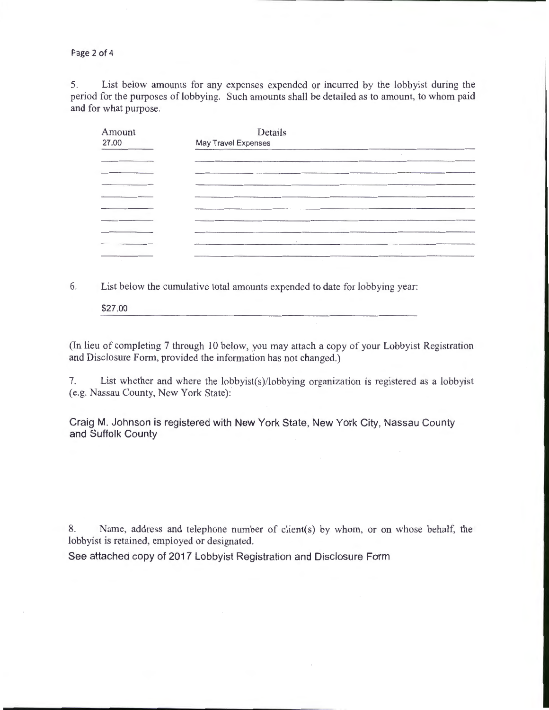Page 2 of 4

5. List below amounts for any expenses expended or incurred by the lobbyist during the period for the purposes of lobbying. Such amounts shall be detailed as to amount, to whom paid and for what purpose.

| Amount      | Details             |  |
|-------------|---------------------|--|
| 27.00<br>__ | May Travel Expenses |  |
|             |                     |  |
|             |                     |  |
|             | $\sim$              |  |
|             |                     |  |
|             |                     |  |
|             |                     |  |
|             |                     |  |
|             | $\sim$              |  |
|             | $\sim$              |  |

6. List below the cumulative total amounts expended to date for lobbying year:

\$27.00

(In lieu of completing 7 through 10 below, you may attach a copy of your Lobbyist Registration and Disclosure Form, provided the information has not changed.)

7. List whether and where the lobbyist(s)/lobbying organization is registered as a lobbyist (e.g. Nassau County, New York State):

Craig M. Johnson is registered with New York State, New York City, Nassau County and Suffolk County

8. Name, address and telephone number of client(s) by whom, or on whose behalf, the lobbyist is retained, employed or designated.

See attached copy of 2017 Lobbyist Registration and Disclosure Form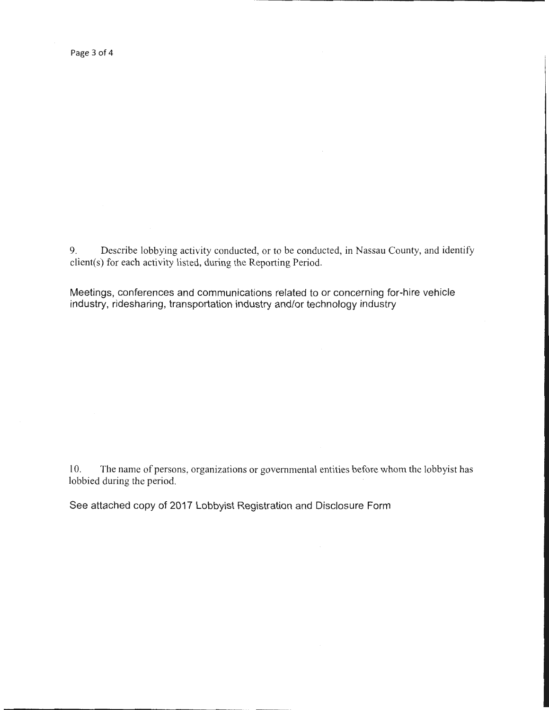9. Describe lobbying activity conducted, or to be conducted, in Nassau County, and identify client(s) for each activity listed, during the Reporting Period.

Meetings, conferences and communications related to or concerning for-hire vehicle industry, ridesharing, transportation industry and/or technology industry

10. The name of persons, organizations or governmental entities before whom the lobbyist has lobbied during the period.

See attached copy of 2017 Lobbyist Registration and Disclosure Form